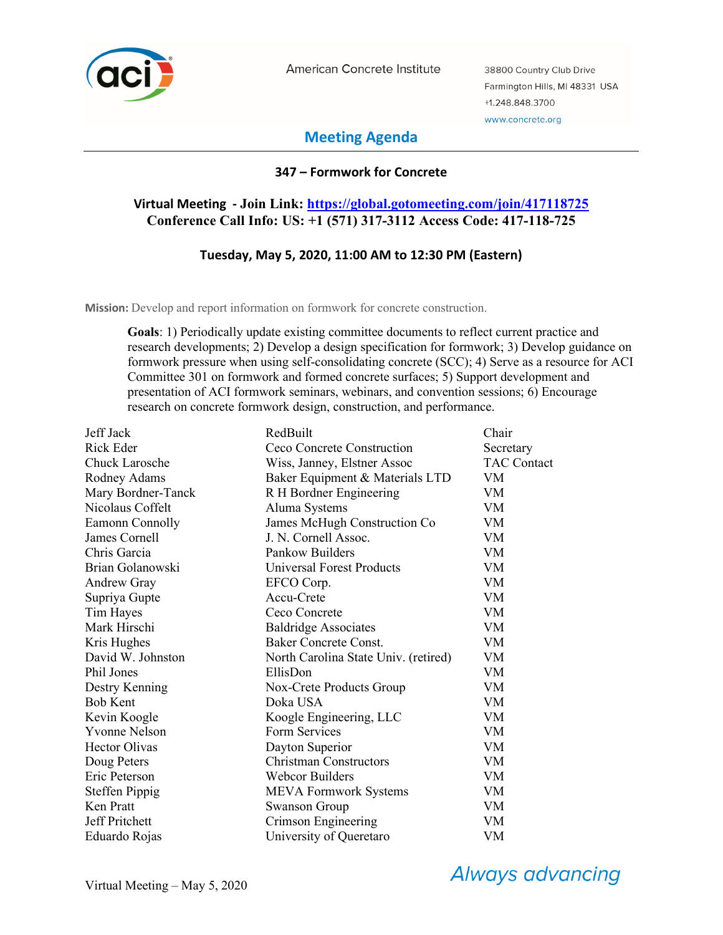

American Concrete Institute

38800 Country Club Drive Farmington Hills, MI 48331 USA +1.248.848.3700 www.concrete.org

# **Meeting Agenda**

## **347 – Formwork for Concrete**

## **Virtual Meeting - Join Link: https://global.gotomeeting.com/join/417118725 Conference Call Info: US: +1 (571) 317-3112 Access Code: 417-118-725**

## **Tuesday, May 5, 2020, 11:00 AM to 12:30 PM (Eastern)**

**Mission:** Develop and report information on formwork for concrete construction.

**Goals**: 1) Periodically update existing committee documents to reflect current practice and research developments; 2) Develop a design specification for formwork; 3) Develop guidance on formwork pressure when using self-consolidating concrete (SCC); 4) Serve as a resource for ACI Committee 301 on formwork and formed concrete surfaces; 5) Support development and presentation of ACI formwork seminars, webinars, and convention sessions; 6) Encourage research on concrete formwork design, construction, and performance.

| Jeff Jack             | RedBuilt                             | Chair              |
|-----------------------|--------------------------------------|--------------------|
| <b>Rick Eder</b>      | Ceco Concrete Construction           | Secretary          |
| <b>Chuck Larosche</b> | Wiss, Janney, Elstner Assoc          | <b>TAC Contact</b> |
| Rodney Adams          | Baker Equipment & Materials LTD      | VM.                |
| Mary Bordner-Tanck    | R H Bordner Engineering              | VM                 |
| Nicolaus Coffelt      | Aluma Systems                        | VM                 |
| Eamonn Connolly       | James McHugh Construction Co         | <b>VM</b>          |
| James Cornell         | J. N. Cornell Assoc.                 | VM                 |
| Chris Garcia          | Pankow Builders                      | VM                 |
| Brian Golanowski      | <b>Universal Forest Products</b>     | <b>VM</b>          |
| Andrew Gray           | EFCO Corp.                           | <b>VM</b>          |
| Supriya Gupte         | Accu-Crete                           | VM                 |
| Tim Hayes             | Ceco Concrete                        | <b>VM</b>          |
| Mark Hirschi          | <b>Baldridge Associates</b>          | VM                 |
| Kris Hughes           | <b>Baker Concrete Const.</b>         | VM                 |
| David W. Johnston     | North Carolina State Univ. (retired) | VM                 |
| Phil Jones            | EllisDon                             | VM                 |
| Destry Kenning        | Nox-Crete Products Group             | VM                 |
| <b>Bob Kent</b>       | Doka USA                             | <b>VM</b>          |
| Kevin Koogle          | Koogle Engineering, LLC              | VM                 |
| <b>Yvonne Nelson</b>  | Form Services                        | <b>VM</b>          |
| <b>Hector Olivas</b>  | Dayton Superior                      | <b>VM</b>          |
| Doug Peters           | Christman Constructors               | VM                 |
| Eric Peterson         | Webcor Builders                      | VM                 |
| <b>Steffen Pippig</b> | <b>MEVA Formwork Systems</b>         | VM                 |
| Ken Pratt             | <b>Swanson Group</b>                 | VM                 |
| Jeff Pritchett        | Crimson Engineering                  | VM.                |
| Eduardo Rojas         | University of Queretaro              | VM                 |

**Always advancing**